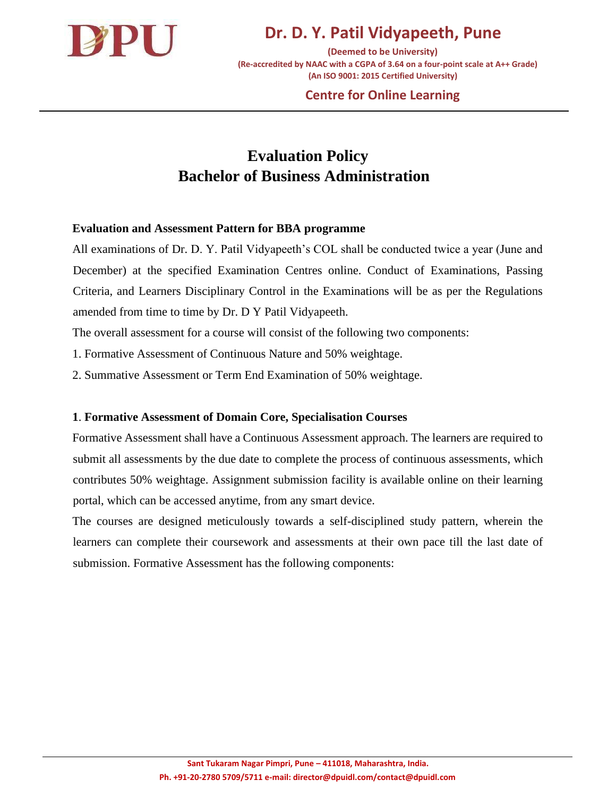

**Dr. D. Y. Patil Vidyapeeth, Pune**

**(Deemed to be University) (Re-accredited by NAAC with a CGPA of 3.64 on a four-point scale at A++ Grade) (An ISO 9001: 2015 Certified University)**

### **Centre for Online Learning**

# **Evaluation Policy Bachelor of Business Administration**

#### **Evaluation and Assessment Pattern for BBA programme**

All examinations of Dr. D. Y. Patil Vidyapeeth's COL shall be conducted twice a year (June and December) at the specified Examination Centres online. Conduct of Examinations, Passing Criteria, and Learners Disciplinary Control in the Examinations will be as per the Regulations amended from time to time by Dr. D Y Patil Vidyapeeth.

The overall assessment for a course will consist of the following two components:

1. Formative Assessment of Continuous Nature and 50% weightage.

2. Summative Assessment or Term End Examination of 50% weightage.

### **1**. **Formative Assessment of Domain Core, Specialisation Courses**

Formative Assessment shall have a Continuous Assessment approach. The learners are required to submit all assessments by the due date to complete the process of continuous assessments, which contributes 50% weightage. Assignment submission facility is available online on their learning portal, which can be accessed anytime, from any smart device.

The courses are designed meticulously towards a self-disciplined study pattern, wherein the learners can complete their coursework and assessments at their own pace till the last date of submission. Formative Assessment has the following components: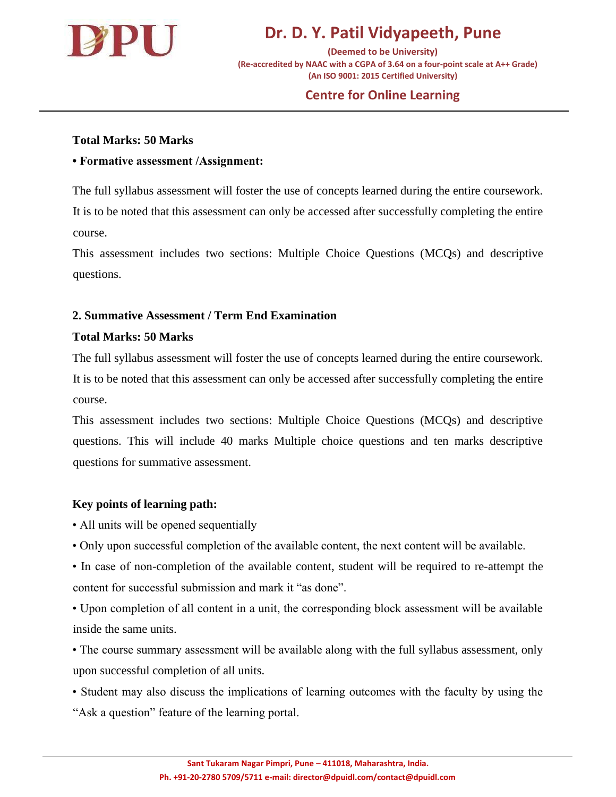

# **Dr. D. Y. Patil Vidyapeeth, Pune**

**(Deemed to be University) (Re-accredited by NAAC with a CGPA of 3.64 on a four-point scale at A++ Grade) (An ISO 9001: 2015 Certified University)**

### **Centre for Online Learning**

### **Total Marks: 50 Marks**

#### **• Formative assessment /Assignment:**

The full syllabus assessment will foster the use of concepts learned during the entire coursework. It is to be noted that this assessment can only be accessed after successfully completing the entire course.

This assessment includes two sections: Multiple Choice Questions (MCQs) and descriptive questions.

### **2. Summative Assessment / Term End Examination**

#### **Total Marks: 50 Marks**

The full syllabus assessment will foster the use of concepts learned during the entire coursework. It is to be noted that this assessment can only be accessed after successfully completing the entire course.

This assessment includes two sections: Multiple Choice Questions (MCQs) and descriptive questions. This will include 40 marks Multiple choice questions and ten marks descriptive questions for summative assessment.

### **Key points of learning path:**

- All units will be opened sequentially
- Only upon successful completion of the available content, the next content will be available.
- In case of non-completion of the available content, student will be required to re-attempt the content for successful submission and mark it "as done".
- Upon completion of all content in a unit, the corresponding block assessment will be available inside the same units.
- The course summary assessment will be available along with the full syllabus assessment, only upon successful completion of all units.
- Student may also discuss the implications of learning outcomes with the faculty by using the "Ask a question" feature of the learning portal.